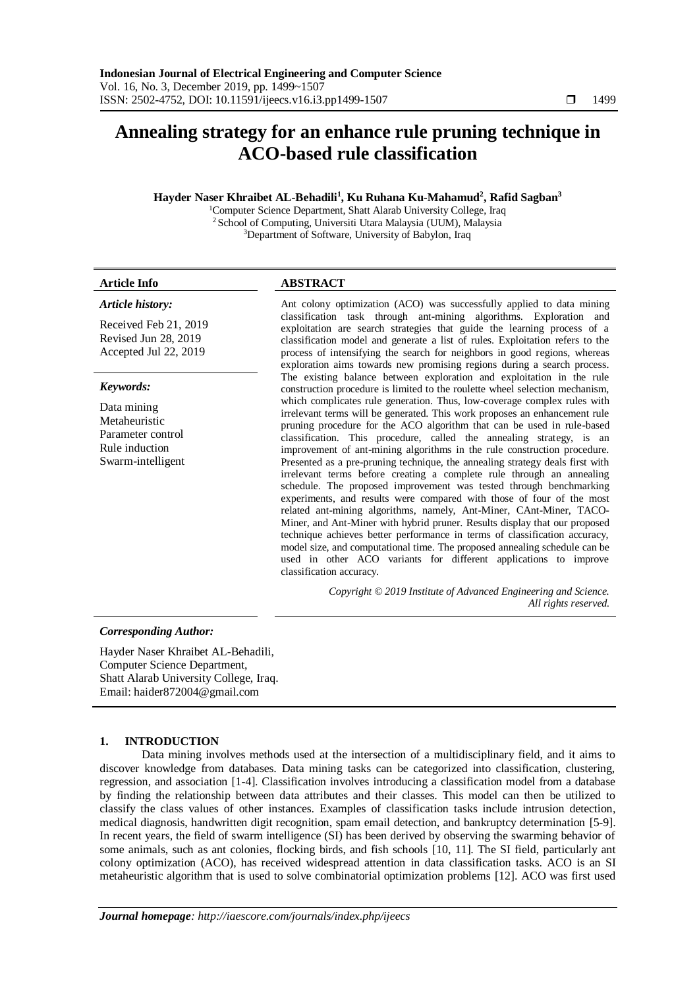# **Annealing strategy for an enhance rule pruning technique in ACO-based rule classification**

## **Hayder Naser Khraibet AL-Behadili<sup>1</sup> , Ku Ruhana Ku-Mahamud<sup>2</sup> , Rafid Sagban<sup>3</sup>**

<sup>1</sup>Computer Science Department, Shatt Alarab University College, Iraq <sup>2</sup> School of Computing, Universiti Utara Malaysia (UUM), Malaysia <sup>3</sup>Department of Software, University of Babylon, Iraq

#### **Article Info ABSTRACT**

*Article history:*

Received Feb 21, 2019 Revised Jun 28, 2019 Accepted Jul 22, 2019

### *Keywords:*

Data mining Metaheuristic Parameter control Rule induction Swarm-intelligent

Ant colony optimization (ACO) was successfully applied to data mining classification task through ant-mining algorithms. Exploration and exploitation are search strategies that guide the learning process of a classification model and generate a list of rules. Exploitation refers to the process of intensifying the search for neighbors in good regions, whereas exploration aims towards new promising regions during a search process. The existing balance between exploration and exploitation in the rule construction procedure is limited to the roulette wheel selection mechanism, which complicates rule generation. Thus, low-coverage complex rules with irrelevant terms will be generated. This work proposes an enhancement rule pruning procedure for the ACO algorithm that can be used in rule-based classification. This procedure, called the annealing strategy, is an improvement of ant-mining algorithms in the rule construction procedure. Presented as a pre-pruning technique, the annealing strategy deals first with irrelevant terms before creating a complete rule through an annealing schedule. The proposed improvement was tested through benchmarking experiments, and results were compared with those of four of the most related ant-mining algorithms, namely, Ant-Miner, CAnt-Miner, TACO-Miner, and Ant-Miner with hybrid pruner. Results display that our proposed technique achieves better performance in terms of classification accuracy, model size, and computational time. The proposed annealing schedule can be used in other ACO variants for different applications to improve classification accuracy.

> *Copyright © 2019 Institute of Advanced Engineering and Science. All rights reserved.*

#### *Corresponding Author:*

Hayder Naser Khraibet AL-Behadili, Computer Science Department, Shatt Alarab University College, Iraq. Email: haider872004@gmail.com

# **1. INTRODUCTION**

Data mining involves methods used at the intersection of a multidisciplinary field, and it aims to discover knowledge from databases. Data mining tasks can be categorized into classification, clustering, regression, and association [1-4]. Classification involves introducing a classification model from a database by finding the relationship between data attributes and their classes. This model can then be utilized to classify the class values of other instances. Examples of classification tasks include intrusion detection, medical diagnosis, handwritten digit recognition, spam email detection, and bankruptcy determination [5-9]. In recent years, the field of swarm intelligence (SI) has been derived by observing the swarming behavior of some animals, such as ant colonies, flocking birds, and fish schools [10, 11]. The SI field, particularly ant colony optimization (ACO), has received widespread attention in data classification tasks. ACO is an SI metaheuristic algorithm that is used to solve combinatorial optimization problems [12]. ACO was first used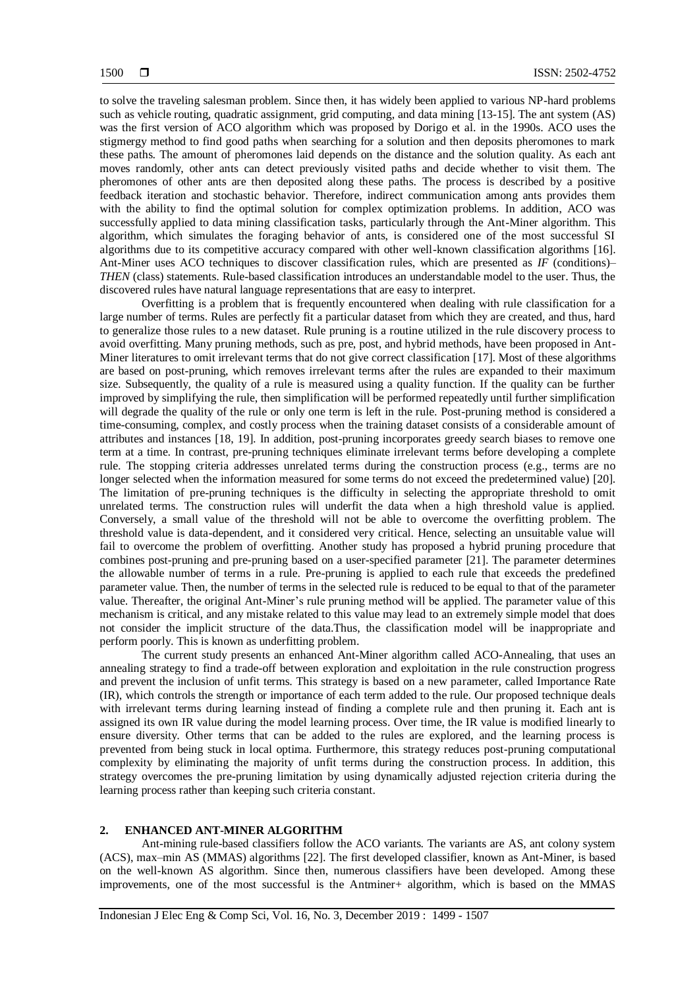to solve the traveling salesman problem. Since then, it has widely been applied to various NP-hard problems such as vehicle routing, quadratic assignment, grid computing, and data mining [13-15]. The ant system (AS) was the first version of ACO algorithm which was proposed by Dorigo et al. in the 1990s. ACO uses the stigmergy method to find good paths when searching for a solution and then deposits pheromones to mark these paths. The amount of pheromones laid depends on the distance and the solution quality. As each ant moves randomly, other ants can detect previously visited paths and decide whether to visit them. The pheromones of other ants are then deposited along these paths. The process is described by a positive feedback iteration and stochastic behavior. Therefore, indirect communication among ants provides them with the ability to find the optimal solution for complex optimization problems. In addition, ACO was successfully applied to data mining classification tasks, particularly through the Ant-Miner algorithm. This algorithm, which simulates the foraging behavior of ants, is considered one of the most successful SI algorithms due to its competitive accuracy compared with other well-known classification algorithms [16]. Ant-Miner uses ACO techniques to discover classification rules, which are presented as *IF* (conditions)– *THEN* (class) statements. Rule-based classification introduces an understandable model to the user. Thus, the discovered rules have natural language representations that are easy to interpret.

Overfitting is a problem that is frequently encountered when dealing with rule classification for a large number of terms. Rules are perfectly fit a particular dataset from which they are created, and thus, hard to generalize those rules to a new dataset. Rule pruning is a routine utilized in the rule discovery process to avoid overfitting. Many pruning methods, such as pre, post, and hybrid methods, have been proposed in Ant-Miner literatures to omit irrelevant terms that do not give correct classification [17]. Most of these algorithms are based on post-pruning, which removes irrelevant terms after the rules are expanded to their maximum size. Subsequently, the quality of a rule is measured using a quality function. If the quality can be further improved by simplifying the rule, then simplification will be performed repeatedly until further simplification will degrade the quality of the rule or only one term is left in the rule. Post-pruning method is considered a time-consuming, complex, and costly process when the training dataset consists of a considerable amount of attributes and instances [18, 19]. In addition, post-pruning incorporates greedy search biases to remove one term at a time. In contrast, pre-pruning techniques eliminate irrelevant terms before developing a complete rule. The stopping criteria addresses unrelated terms during the construction process (e.g., terms are no longer selected when the information measured for some terms do not exceed the predetermined value) [20]. The limitation of pre-pruning techniques is the difficulty in selecting the appropriate threshold to omit unrelated terms. The construction rules will underfit the data when a high threshold value is applied. Conversely, a small value of the threshold will not be able to overcome the overfitting problem. The threshold value is data-dependent, and it considered very critical. Hence, selecting an unsuitable value will fail to overcome the problem of overfitting. Another study has proposed a hybrid pruning procedure that combines post-pruning and pre-pruning based on a user-specified parameter [21]. The parameter determines the allowable number of terms in a rule. Pre-pruning is applied to each rule that exceeds the predefined parameter value. Then, the number of terms in the selected rule is reduced to be equal to that of the parameter value. Thereafter, the original Ant-Miner's rule pruning method will be applied. The parameter value of this mechanism is critical, and any mistake related to this value may lead to an extremely simple model that does not consider the implicit structure of the data.Thus, the classification model will be inappropriate and perform poorly. This is known as underfitting problem.

The current study presents an enhanced Ant-Miner algorithm called ACO-Annealing, that uses an annealing strategy to find a trade-off between exploration and exploitation in the rule construction progress and prevent the inclusion of unfit terms. This strategy is based on a new parameter, called Importance Rate (IR), which controls the strength or importance of each term added to the rule. Our proposed technique deals with irrelevant terms during learning instead of finding a complete rule and then pruning it. Each ant is assigned its own IR value during the model learning process. Over time, the IR value is modified linearly to ensure diversity. Other terms that can be added to the rules are explored, and the learning process is prevented from being stuck in local optima. Furthermore, this strategy reduces post-pruning computational complexity by eliminating the majority of unfit terms during the construction process. In addition, this strategy overcomes the pre-pruning limitation by using dynamically adjusted rejection criteria during the learning process rather than keeping such criteria constant.

#### **2. ENHANCED ANT-MINER ALGORITHM**

Ant-mining rule-based classifiers follow the ACO variants. The variants are AS, ant colony system (ACS), max–min AS (MMAS) algorithms [22]. The first developed classifier, known as Ant-Miner, is based on the well-known AS algorithm. Since then, numerous classifiers have been developed. Among these improvements, one of the most successful is the Antminer+ algorithm, which is based on the MMAS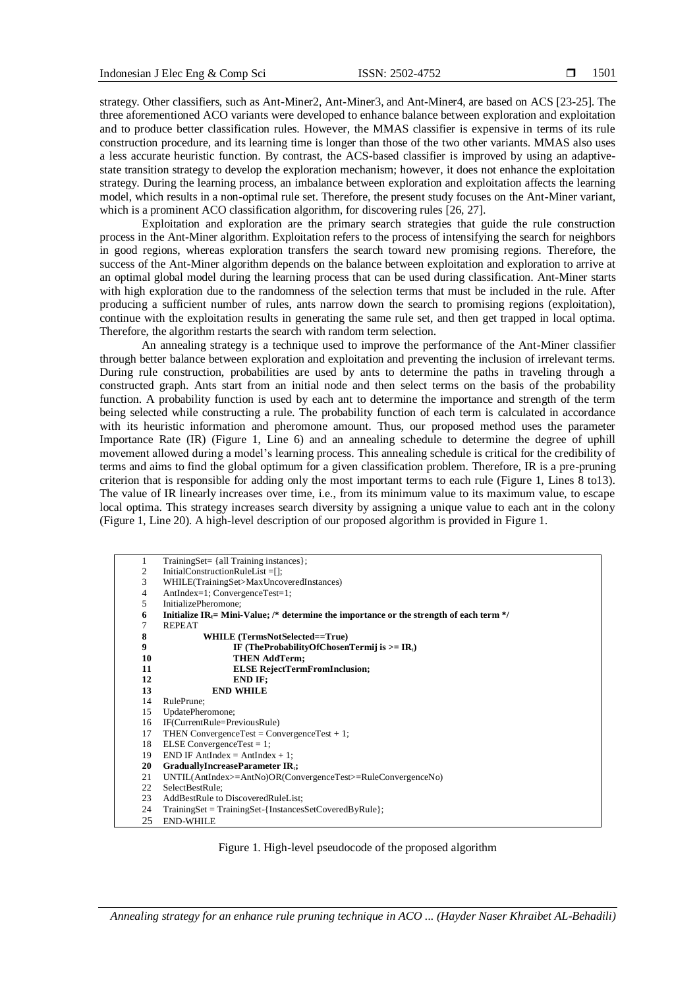strategy. Other classifiers, such as Ant-Miner2, Ant-Miner3, and Ant-Miner4, are based on ACS [23-25]. The three aforementioned ACO variants were developed to enhance balance between exploration and exploitation and to produce better classification rules. However, the MMAS classifier is expensive in terms of its rule construction procedure, and its learning time is longer than those of the two other variants. MMAS also uses a less accurate heuristic function. By contrast, the ACS-based classifier is improved by using an adaptivestate transition strategy to develop the exploration mechanism; however, it does not enhance the exploitation strategy. During the learning process, an imbalance between exploration and exploitation affects the learning model, which results in a non-optimal rule set. Therefore, the present study focuses on the Ant-Miner variant, which is a prominent ACO classification algorithm, for discovering rules [26, 27].

Exploitation and exploration are the primary search strategies that guide the rule construction process in the Ant-Miner algorithm. Exploitation refers to the process of intensifying the search for neighbors in good regions, whereas exploration transfers the search toward new promising regions. Therefore, the success of the Ant-Miner algorithm depends on the balance between exploitation and exploration to arrive at an optimal global model during the learning process that can be used during classification. Ant-Miner starts with high exploration due to the randomness of the selection terms that must be included in the rule. After producing a sufficient number of rules, ants narrow down the search to promising regions (exploitation), continue with the exploitation results in generating the same rule set, and then get trapped in local optima. Therefore, the algorithm restarts the search with random term selection.

An annealing strategy is a technique used to improve the performance of the Ant-Miner classifier through better balance between exploration and exploitation and preventing the inclusion of irrelevant terms. During rule construction, probabilities are used by ants to determine the paths in traveling through a constructed graph. Ants start from an initial node and then select terms on the basis of the probability function. A probability function is used by each ant to determine the importance and strength of the term being selected while constructing a rule. The probability function of each term is calculated in accordance with its heuristic information and pheromone amount. Thus, our proposed method uses the parameter Importance Rate (IR) (Figure 1, Line 6) and an annealing schedule to determine the degree of uphill movement allowed during a model's learning process. This annealing schedule is critical for the credibility of terms and aims to find the global optimum for a given classification problem. Therefore, IR is a pre-pruning criterion that is responsible for adding only the most important terms to each rule (Figure 1, Lines 8 to13). The value of IR linearly increases over time, i.e., from its minimum value to its maximum value, to escape local optima. This strategy increases search diversity by assigning a unique value to each ant in the colony (Figure 1, Line 20). A high-level description of our proposed algorithm is provided in Figure 1.

| 1              | $TrainingSet = \{ all Training instances\};$                                                         |
|----------------|------------------------------------------------------------------------------------------------------|
| 2              | InitialConstructionRuleList=[];                                                                      |
| 3              | WHILE(TrainingSet>MaxUncoveredInstances)                                                             |
| $\overline{4}$ | AntIndex=1; ConvergenceTest=1;                                                                       |
| 5              | InitializePheromone;                                                                                 |
| 6              | Initialize IR <sub>t</sub> = Mini-Value; /* determine the importance or the strength of each term */ |
| 7              | <b>REPEAT</b>                                                                                        |
| 8              | WHILE (TermsNotSelected==True)                                                                       |
| 9              | IF (TheProbabilityOfChosenTermij is $>=$ IR <sub>t</sub> )                                           |
| 10             | <b>THEN AddTerm;</b>                                                                                 |
| 11             | <b>ELSE RejectTermFromInclusion;</b>                                                                 |
| 12             | END IF:                                                                                              |
| 13             | <b>END WHILE</b>                                                                                     |
| 14             | RulePrune;                                                                                           |
| 15             | UpdatePheromone;                                                                                     |
| 16             | IF(CurrentRule=PreviousRule)                                                                         |
| 17             | THEN ConvergenceTest = $ConvergenceTest + 1$ ;                                                       |
| 18             | ELSE Convergence $Test = 1$ ;                                                                        |
| 19             | $END IF$ AntIndex = AntIndex + 1;                                                                    |
| 20             | GraduallyIncreaseParameter IR.;                                                                      |
| 21             | $UNTIL(AntIndex>=AntNo)OR(ConvergenceTest>=RuleConvergenceNo)$                                       |
| 22             | SelectBestRule;                                                                                      |
| 23             | AddBestRule to DiscoveredRuleList;                                                                   |
| 24             | $TrainingSet = TrainingSet - {InstanceSetCoveredByRule};$                                            |
| 25             | <b>END-WHILE</b>                                                                                     |

Figure 1. High-level pseudocode of the proposed algorithm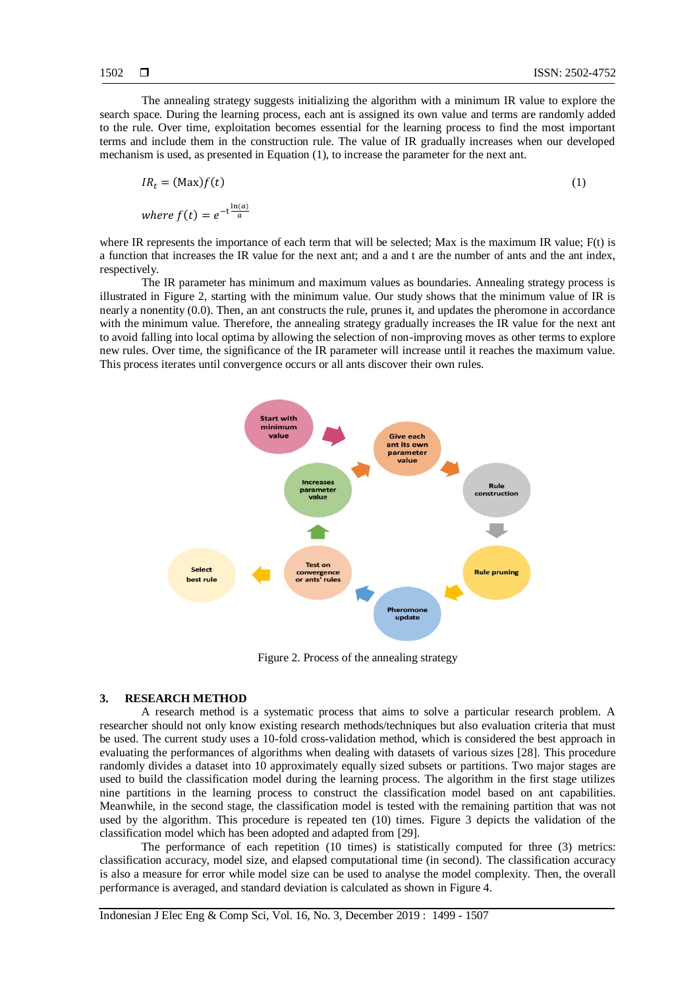The annealing strategy suggests initializing the algorithm with a minimum IR value to explore the search space. During the learning process, each ant is assigned its own value and terms are randomly added to the rule. Over time, exploitation becomes essential for the learning process to find the most important terms and include them in the construction rule. The value of IR gradually increases when our developed mechanism is used, as presented in Equation (1), to increase the parameter for the next ant.

$$
IR_t = (Max)f(t)
$$
  
(1)  
where  $f(t) = e^{-t \frac{\ln(a)}{a}}$ 

where IR represents the importance of each term that will be selected; Max is the maximum IR value; F(t) is a function that increases the IR value for the next ant; and a and t are the number of ants and the ant index, respectively.

The IR parameter has minimum and maximum values as boundaries. Annealing strategy process is illustrated in Figure 2, starting with the minimum value. Our study shows that the minimum value of IR is nearly a nonentity (0.0). Then, an ant constructs the rule, prunes it, and updates the pheromone in accordance with the minimum value. Therefore, the annealing strategy gradually increases the IR value for the next ant to avoid falling into local optima by allowing the selection of non-improving moves as other terms to explore new rules. Over time, the significance of the IR parameter will increase until it reaches the maximum value. This process iterates until convergence occurs or all ants discover their own rules.



Figure 2. Process of the annealing strategy

## **3. RESEARCH METHOD**

A research method is a systematic process that aims to solve a particular research problem. A researcher should not only know existing research methods/techniques but also evaluation criteria that must be used. The current study uses a 10-fold cross-validation method, which is considered the best approach in evaluating the performances of algorithms when dealing with datasets of various sizes [28]. This procedure randomly divides a dataset into 10 approximately equally sized subsets or partitions. Two major stages are used to build the classification model during the learning process. The algorithm in the first stage utilizes nine partitions in the learning process to construct the classification model based on ant capabilities. Meanwhile, in the second stage, the classification model is tested with the remaining partition that was not used by the algorithm. This procedure is repeated ten (10) times. Figure 3 depicts the validation of the classification model which has been adopted and adapted from [29].

The performance of each repetition (10 times) is statistically computed for three (3) metrics: classification accuracy, model size, and elapsed computational time (in second). The classification accuracy is also a measure for error while model size can be used to analyse the model complexity. Then, the overall performance is averaged, and standard deviation is calculated as shown in Figure 4.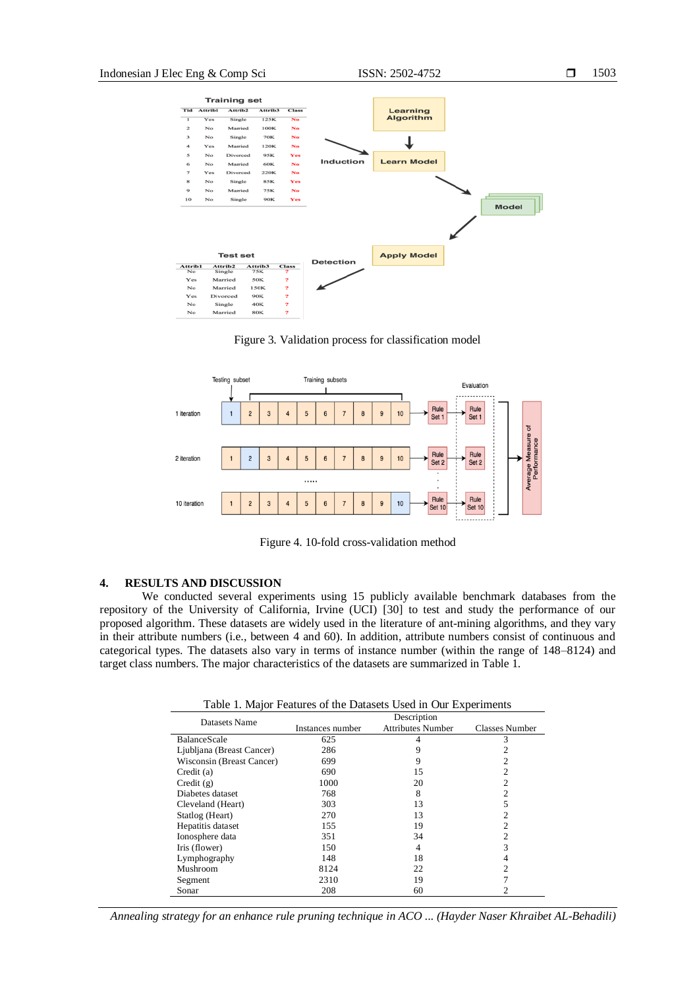

Figure 3. Validation process for classification model



Figure 4. 10-fold cross-validation method

#### **4. RESULTS AND DISCUSSION**

We conducted several experiments using 15 publicly available benchmark databases from the repository of the University of California, Irvine (UCI) [30] to test and study the performance of our proposed algorithm. These datasets are widely used in the literature of ant-mining algorithms, and they vary in their attribute numbers (i.e., between 4 and 60). In addition, attribute numbers consist of continuous and categorical types. The datasets also vary in terms of instance number (within the range of 148–8124) and target class numbers. The major characteristics of the datasets are summarized in Table 1.

Table 1. Major Features of the Datasets Used in Our Experiments

| Datasets Name             | Description      |                          |                       |
|---------------------------|------------------|--------------------------|-----------------------|
|                           | Instances number | <b>Attributes Number</b> | <b>Classes Number</b> |
| <b>BalanceScale</b>       | 625              | 4                        | 3                     |
| Ljubljana (Breast Cancer) | 286              | 9                        |                       |
| Wisconsin (Breast Cancer) | 699              | 9                        |                       |
| Credit(a)                 | 690              | 15                       | 2                     |
| Credit(g)                 | 1000             | 20                       | $\overline{c}$        |
| Diabetes dataset          | 768              | 8                        | $\overline{c}$        |
| Cleveland (Heart)         | 303              | 13                       | 5                     |
| Statlog (Heart)           | 270              | 13                       |                       |
| Hepatitis dataset         | 155              | 19                       |                       |
| Ionosphere data           | 351              | 34                       | 2                     |
| Iris (flower)             | 150              | 4                        | 3                     |
| Lymphography              | 148              | 18                       | 4                     |
| Mushroom                  | 8124             | 22                       | 2                     |
| Segment                   | 2310             | 19                       |                       |
| Sonar                     | 208              | 60                       |                       |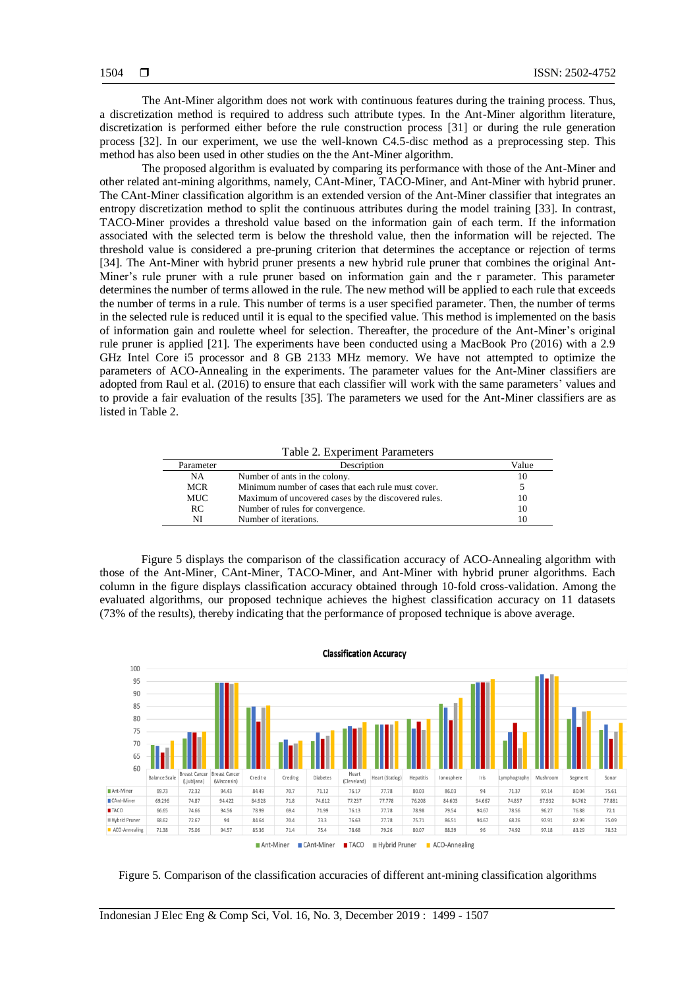The Ant-Miner algorithm does not work with continuous features during the training process. Thus, a discretization method is required to address such attribute types. In the Ant-Miner algorithm literature, discretization is performed either before the rule construction process [31] or during the rule generation process [32]. In our experiment, we use the well-known C4.5-disc method as a preprocessing step. This method has also been used in other studies on the the Ant-Miner algorithm.

The proposed algorithm is evaluated by comparing its performance with those of the Ant-Miner and other related ant-mining algorithms, namely, CAnt-Miner, TACO-Miner, and Ant-Miner with hybrid pruner. The CAnt-Miner classification algorithm is an extended version of the Ant-Miner classifier that integrates an entropy discretization method to split the continuous attributes during the model training [33]. In contrast, TACO-Miner provides a threshold value based on the information gain of each term. If the information associated with the selected term is below the threshold value, then the information will be rejected. The threshold value is considered a pre-pruning criterion that determines the acceptance or rejection of terms [34]. The Ant-Miner with hybrid pruner presents a new hybrid rule pruner that combines the original Ant-Miner's rule pruner with a rule pruner based on information gain and the r parameter. This parameter determines the number of terms allowed in the rule. The new method will be applied to each rule that exceeds the number of terms in a rule. This number of terms is a user specified parameter. Then, the number of terms in the selected rule is reduced until it is equal to the specified value. This method is implemented on the basis of information gain and roulette wheel for selection. Thereafter, the procedure of the Ant-Miner's original rule pruner is applied [21]. The experiments have been conducted using a MacBook Pro (2016) with a 2.9 GHz Intel Core i5 processor and 8 GB 2133 MHz memory. We have not attempted to optimize the parameters of ACO-Annealing in the experiments. The parameter values for the Ant-Miner classifiers are adopted from Raul et al. (2016) to ensure that each classifier will work with the same parameters' values and to provide a fair evaluation of the results [35]. The parameters we used for the Ant-Miner classifiers are as listed in Table 2.

Table 2. Experiment Parameters

| Parameter  | Description                                         | Value |
|------------|-----------------------------------------------------|-------|
| NA         | Number of ants in the colony.                       | 10    |
| <b>MCR</b> | Minimum number of cases that each rule must cover.  |       |
| MUC        | Maximum of uncovered cases by the discovered rules. | 10    |
| RC         | Number of rules for convergence.                    | 10    |
| NI         | Number of iterations.                               | 10    |
|            |                                                     |       |

Figure 5 displays the comparison of the classification accuracy of ACO-Annealing algorithm with those of the Ant-Miner, CAnt-Miner, TACO-Miner, and Ant-Miner with hybrid pruner algorithms. Each column in the figure displays classification accuracy obtained through 10-fold cross-validation. Among the evaluated algorithms, our proposed technique achieves the highest classification accuracy on 11 datasets (73% of the results), thereby indicating that the performance of proposed technique is above average.



Figure 5. Comparison of the classification accuracies of different ant-mining classification algorithms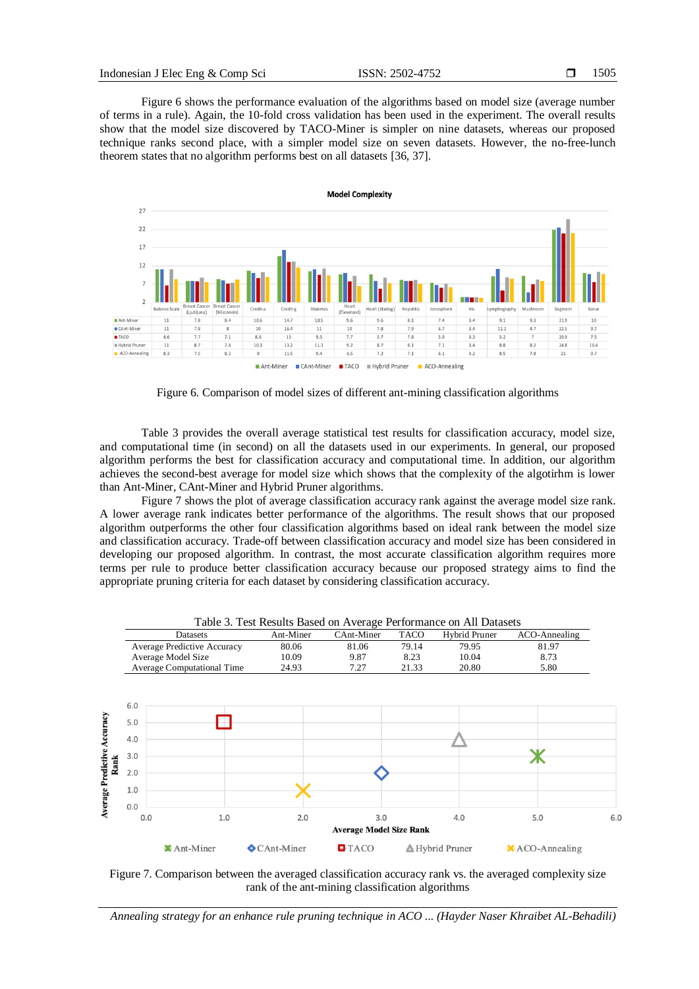Figure 6 shows the performance evaluation of the algorithms based on model size (average number of terms in a rule). Again, the 10-fold cross validation has been used in the experiment. The overall results show that the model size discovered by TACO-Miner is simpler on nine datasets, whereas our proposed technique ranks second place, with a simpler model size on seven datasets. However, the no-free-lunch theorem states that no algorithm performs best on all datasets [36, 37].



Figure 6. Comparison of model sizes of different ant-mining classification algorithms

Table 3 provides the overall average statistical test results for classification accuracy, model size, and computational time (in second) on all the datasets used in our experiments. In general, our proposed algorithm performs the best for classification accuracy and computational time. In addition, our algorithm achieves the second-best average for model size which shows that the complexity of the algotirhm is lower than Ant-Miner, CAnt-Miner and Hybrid Pruner algorithms.

Figure 7 shows the plot of average classification accuracy rank against the average model size rank. A lower average rank indicates better performance of the algorithms. The result shows that our proposed algorithm outperforms the other four classification algorithms based on ideal rank between the model size and classification accuracy. Trade-off between classification accuracy and model size has been considered in developing our proposed algorithm. In contrast, the most accurate classification algorithm requires more terms per rule to produce better classification accuracy because our proposed strategy aims to find the appropriate pruning criteria for each dataset by considering classification accuracy.



Table 3. Test Results Based on Average Performance on All Datasets

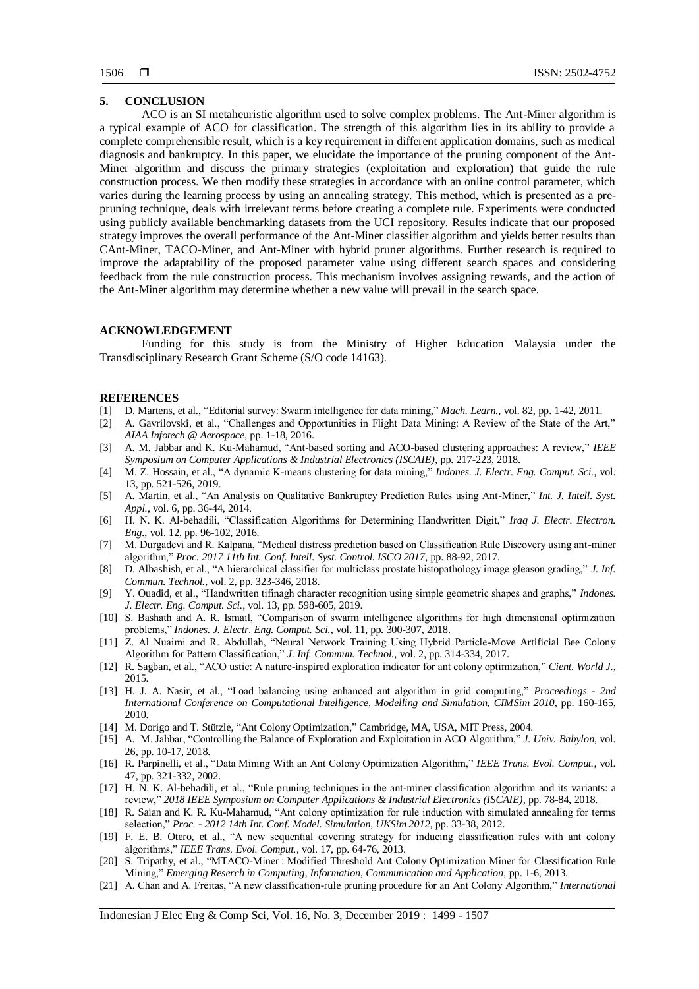#### **5. CONCLUSION**

ACO is an SI metaheuristic algorithm used to solve complex problems. The Ant-Miner algorithm is a typical example of ACO for classification. The strength of this algorithm lies in its ability to provide a complete comprehensible result, which is a key requirement in different application domains, such as medical diagnosis and bankruptcy. In this paper, we elucidate the importance of the pruning component of the Ant-Miner algorithm and discuss the primary strategies (exploitation and exploration) that guide the rule construction process. We then modify these strategies in accordance with an online control parameter, which varies during the learning process by using an annealing strategy. This method, which is presented as a prepruning technique, deals with irrelevant terms before creating a complete rule. Experiments were conducted using publicly available benchmarking datasets from the UCI repository. Results indicate that our proposed strategy improves the overall performance of the Ant-Miner classifier algorithm and yields better results than CAnt-Miner, TACO-Miner, and Ant-Miner with hybrid pruner algorithms. Further research is required to improve the adaptability of the proposed parameter value using different search spaces and considering feedback from the rule construction process. This mechanism involves assigning rewards, and the action of the Ant-Miner algorithm may determine whether a new value will prevail in the search space.

#### **ACKNOWLEDGEMENT**

Funding for this study is from the Ministry of Higher Education Malaysia under the Transdisciplinary Research Grant Scheme (S/O code 14163).

#### **REFERENCES**

- [1] D. Martens, et al., "Editorial survey: Swarm intelligence for data mining," *Mach. Learn.*, vol. 82, pp. 1-42, 2011.
- [2] A. Gavrilovski, et al., "Challenges and Opportunities in Flight Data Mining: A Review of the State of the Art," *AIAA Infotech @ Aerospace*, pp. 1-18, 2016.
- [3] A. M. Jabbar and K. Ku-Mahamud, "Ant-based sorting and ACO-based clustering approaches: A review," *IEEE Symposium on Computer Applications & Industrial Electronics (ISCAIE)*, pp. 217-223, 2018.
- [4] M. Z. Hossain, et al., "A dynamic K-means clustering for data mining," *Indones. J. Electr. Eng. Comput. Sci.*, vol. 13, pp. 521-526, 2019.
- [5] A. Martin, et al., "An Analysis on Qualitative Bankruptcy Prediction Rules using Ant-Miner," *Int. J. Intell. Syst. Appl.*, vol. 6, pp. 36-44, 2014.
- [6] H. N. K. Al-behadili, "Classification Algorithms for Determining Handwritten Digit," *Iraq J. Electr. Electron. Eng.*, vol. 12, pp. 96-102, 2016.
- [7] M. Durgadevi and R. Kalpana, "Medical distress prediction based on Classification Rule Discovery using ant-miner algorithm," *Proc. 2017 11th Int. Conf. Intell. Syst. Control. ISCO 2017*, pp. 88-92, 2017.
- [8] D. Albashish, et al., "A hierarchical classifier for multiclass prostate histopathology image gleason grading," *J. Inf. Commun. Technol.*, vol. 2, pp. 323-346, 2018.
- [9] Y. Ouadid, et al., "Handwritten tifinagh character recognition using simple geometric shapes and graphs," *Indones. J. Electr. Eng. Comput. Sci.*, vol. 13, pp. 598-605, 2019.
- [10] S. Bashath and A. R. Ismail, "Comparison of swarm intelligence algorithms for high dimensional optimization problems," *Indones. J. Electr. Eng. Comput. Sci.*, vol. 11, pp. 300-307, 2018.
- [11] Z. Al Nuaimi and R. Abdullah, "Neural Network Training Using Hybrid Particle-Move Artificial Bee Colony Algorithm for Pattern Classification," *J. Inf. Commun. Technol.*, vol. 2, pp. 314-334, 2017.
- [12] R. Sagban, et al., "ACO ustic: A nature-inspired exploration indicator for ant colony optimization," *Cient. World J.*, 2015.
- [13] H. J. A. Nasir, et al., "Load balancing using enhanced ant algorithm in grid computing," *Proceedings - 2nd International Conference on Computational Intelligence, Modelling and Simulation, CIMSim 2010*, pp. 160-165, 2010.
- [14] M. Dorigo and T. Stützle, "Ant Colony Optimization," Cambridge, MA, USA, MIT Press, 2004.
- [15] A. M. Jabbar, "Controlling the Balance of Exploration and Exploitation in ACO Algorithm," *J. Univ. Babylon*, vol. 26, pp. 10-17, 2018.
- [16] R. Parpinelli, et al., "Data Mining With an Ant Colony Optimization Algorithm," *IEEE Trans. Evol. Comput.*, vol. 47, pp. 321-332, 2002.
- [17] H. N. K. Al-behadili, et al., "Rule pruning techniques in the ant-miner classification algorithm and its variants: a review," *2018 IEEE Symposium on Computer Applications & Industrial Electronics (ISCAIE)*, pp. 78-84, 2018.
- [18] R. Saian and K. R. Ku-Mahamud, "Ant colony optimization for rule induction with simulated annealing for terms selection," *Proc. - 2012 14th Int. Conf. Model. Simulation, UKSim 2012*, pp. 33-38, 2012.
- [19] F. E. B. Otero, et al., "A new sequential covering strategy for inducing classification rules with ant colony algorithms," *IEEE Trans. Evol. Comput.*, vol. 17, pp. 64-76, 2013.
- [20] S. Tripathy, et al., "MTACO-Miner : Modified Threshold Ant Colony Optimization Miner for Classification Rule Mining," *Emerging Reserch in Computing, Information, Communication and Application*, pp. 1-6, 2013.
- [21] A. Chan and A. Freitas, "A new classification-rule pruning procedure for an Ant Colony Algorithm," *International*